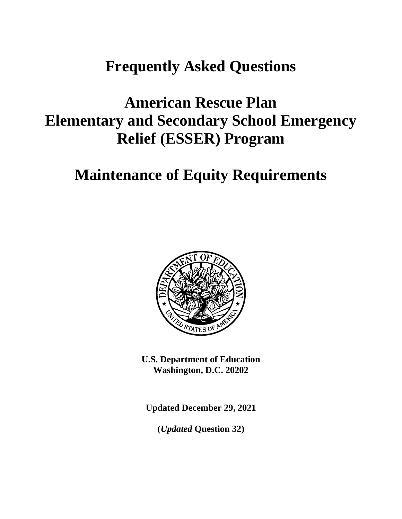# **Frequently Asked Questions**

# **American Rescue Plan Elementary and Secondary School Emergency Relief (ESSER) Program**

# **Maintenance of Equity Requirements**



**U.S. Department of Education Washington, D.C. 20202**

**Updated December 29, 2021**

**(***Updated* **Question 32)**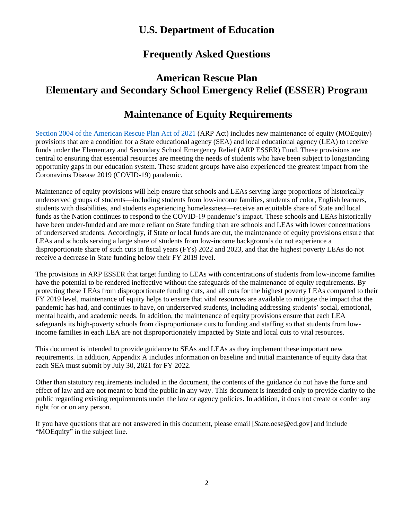## **U.S. Department of Education**

## **Frequently Asked Questions**

# **American Rescue Plan Elementary and Secondary School Emergency Relief (ESSER) Program**

# **Maintenance of Equity Requirements**

[Section 2004 of the American Rescue Plan Act of 2021](https://www.congress.gov/bill/117th-congress/house-bill/1319/text#toc-HAC039C3541884A6CBB0A1EE4627B3043) (ARP Act) includes new maintenance of equity (MOEquity) provisions that are a condition for a State educational agency (SEA) and local educational agency (LEA) to receive funds under the Elementary and Secondary School Emergency Relief (ARP ESSER) Fund. These provisions are central to ensuring that essential resources are meeting the needs of students who have been subject to longstanding opportunity gaps in our education system. These student groups have also experienced the greatest impact from the Coronavirus Disease 2019 (COVID-19) pandemic.

Maintenance of equity provisions will help ensure that schools and LEAs serving large proportions of historically underserved groups of students—including students from low-income families, students of color, English learners, students with disabilities, and students experiencing homelessness—receive an equitable share of State and local funds as the Nation continues to respond to the COVID-19 pandemic's impact. These schools and LEAs historically have been under-funded and are more reliant on State funding than are schools and LEAs with lower concentrations of underserved students. Accordingly, if State or local funds are cut, the maintenance of equity provisions ensure that LEAs and schools serving a large share of students from low-income backgrounds do not experience a disproportionate share of such cuts in fiscal years (FYs) 2022 and 2023, and that the highest poverty LEAs do not receive a decrease in State funding below their FY 2019 level.

The provisions in ARP ESSER that target funding to LEAs with concentrations of students from low-income families have the potential to be rendered ineffective without the safeguards of the maintenance of equity requirements. By protecting these LEAs from disproportionate funding cuts, and all cuts for the highest poverty LEAs compared to their FY 2019 level, maintenance of equity helps to ensure that vital resources are available to mitigate the impact that the pandemic has had, and continues to have, on underserved students, including addressing students' social, emotional, mental health, and academic needs. In addition, the maintenance of equity provisions ensure that each LEA safeguards its high-poverty schools from disproportionate cuts to funding and staffing so that students from lowincome families in each LEA are not disproportionately impacted by State and local cuts to vital resources.

This document is intended to provide guidance to SEAs and LEAs as they implement these important new requirements. In addition, Appendix A includes information on baseline and initial maintenance of equity data that each SEA must submit by July 30, 2021 for FY 2022.

Other than statutory requirements included in the document, the contents of the guidance do not have the force and effect of law and are not meant to bind the public in any way. This document is intended only to provide clarity to the public regarding existing requirements under the law or agency policies. In addition, it does not create or confer any right for or on any person.

If you have questions that are not answered in this document, please email [*State*.oese@ed.gov] and include "MOEquity" in the subject line.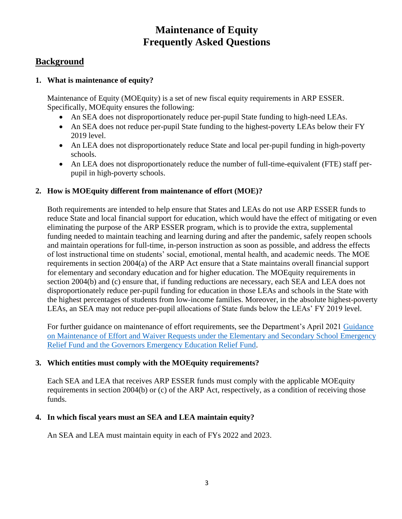# **Maintenance of Equity Frequently Asked Questions**

## **Background**

#### **1. What is maintenance of equity?**

Maintenance of Equity (MOEquity) is a set of new fiscal equity requirements in ARP ESSER. Specifically, MOEquity ensures the following:

- An SEA does not disproportionately reduce per-pupil State funding to high-need LEAs.
- An SEA does not reduce per-pupil State funding to the highest-poverty LEAs below their FY 2019 level.
- An LEA does not disproportionately reduce State and local per-pupil funding in high-poverty schools.
- An LEA does not disproportionately reduce the number of full-time-equivalent (FTE) staff perpupil in high-poverty schools.

#### **2. How is MOEquity different from maintenance of effort (MOE)?**

Both requirements are intended to help ensure that States and LEAs do not use ARP ESSER funds to reduce State and local financial support for education, which would have the effect of mitigating or even eliminating the purpose of the ARP ESSER program, which is to provide the extra, supplemental funding needed to maintain teaching and learning during and after the pandemic, safely reopen schools and maintain operations for full-time, in-person instruction as soon as possible, and address the effects of lost instructional time on students' social, emotional, mental health, and academic needs. The MOE requirements in section 2004(a) of the ARP Act ensure that a State maintains overall financial support for elementary and secondary education and for higher education. The MOEquity requirements in section 2004(b) and (c) ensure that, if funding reductions are necessary, each SEA and LEA does not disproportionately reduce per-pupil funding for education in those LEAs and schools in the State with the highest percentages of students from low-income families. Moreover, in the absolute highest-poverty LEAs, an SEA may not reduce per-pupil allocations of State funds below the LEAs' FY 2019 level.

For further guidance on maintenance of effort requirements, see the Department's April 2021 [Guidance](https://oese.ed.gov/files/2021/04/MOE-Chart_with-waiver-FAQs_FINAL_4.19.21_12pm.pdf)  [on Maintenance of Effort and Waiver Requests under the Elementary and Secondary School](https://oese.ed.gov/files/2021/04/MOE-Chart_with-waiver-FAQs_FINAL_4.19.21_12pm.pdf) Emergency [Relief Fund and the Governors Emergency Education Relief Fund.](https://oese.ed.gov/files/2021/04/MOE-Chart_with-waiver-FAQs_FINAL_4.19.21_12pm.pdf)

#### **3. Which entities must comply with the MOEquity requirements?**

Each SEA and LEA that receives ARP ESSER funds must comply with the applicable MOEquity requirements in section 2004(b) or (c) of the ARP Act, respectively, as a condition of receiving those funds.

#### **4. In which fiscal years must an SEA and LEA maintain equity?**

An SEA and LEA must maintain equity in each of FYs 2022 and 2023.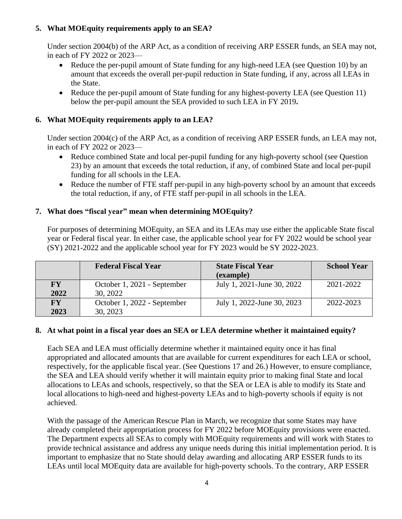### **5. What MOEquity requirements apply to an SEA?**

Under section 2004(b) of the ARP Act, as a condition of receiving ARP ESSER funds, an SEA may not, in each of FY 2022 or 2023—

- Reduce the per-pupil amount of State funding for any high-need LEA (see Question 10) by an amount that exceeds the overall per-pupil reduction in State funding, if any, across all LEAs in the State.
- Reduce the per-pupil amount of State funding for any highest-poverty LEA (see Question 11) below the per-pupil amount the SEA provided to such LEA in FY 2019**.**

#### **6. What MOEquity requirements apply to an LEA?**

Under section 2004(c) of the ARP Act, as a condition of receiving ARP ESSER funds, an LEA may not, in each of FY 2022 or 2023—

- Reduce combined State and local per-pupil funding for any high-poverty school (see Question 23) by an amount that exceeds the total reduction, if any, of combined State and local per-pupil funding for all schools in the LEA.
- Reduce the number of FTE staff per-pupil in any high-poverty school by an amount that exceeds the total reduction, if any, of FTE staff per-pupil in all schools in the LEA.

#### **7. What does "fiscal year" mean when determining MOEquity?**

For purposes of determining MOEquity, an SEA and its LEAs may use either the applicable State fiscal year or Federal fiscal year. In either case, the applicable school year for FY 2022 would be school year (SY) 2021-2022 and the applicable school year for FY 2023 would be SY 2022-2023.

|           | <b>Federal Fiscal Year</b>  | <b>State Fiscal Year</b>   | <b>School Year</b> |
|-----------|-----------------------------|----------------------------|--------------------|
|           |                             | (example)                  |                    |
| <b>FY</b> | October 1, 2021 - September | July 1, 2021-June 30, 2022 | 2021-2022          |
| 2022      | 30, 2022                    |                            |                    |
| <b>FY</b> | October 1, 2022 - September | July 1, 2022-June 30, 2023 | 2022-2023          |
| 2023      | 30, 2023                    |                            |                    |

#### **8. At what point in a fiscal year does an SEA or LEA determine whether it maintained equity?**

Each SEA and LEA must officially determine whether it maintained equity once it has final appropriated and allocated amounts that are available for current expenditures for each LEA or school, respectively, for the applicable fiscal year. (See Questions 17 and 26.) However, to ensure compliance, the SEA and LEA should verify whether it will maintain equity prior to making final State and local allocations to LEAs and schools, respectively, so that the SEA or LEA is able to modify its State and local allocations to high-need and highest-poverty LEAs and to high-poverty schools if equity is not achieved.

With the passage of the American Rescue Plan in March, we recognize that some States may have already completed their appropriation process for FY 2022 before MOEquity provisions were enacted. The Department expects all SEAs to comply with MOEquity requirements and will work with States to provide technical assistance and address any unique needs during this initial implementation period. It is important to emphasize that no State should delay awarding and allocating ARP ESSER funds to its LEAs until local MOEquity data are available for high-poverty schools. To the contrary, ARP ESSER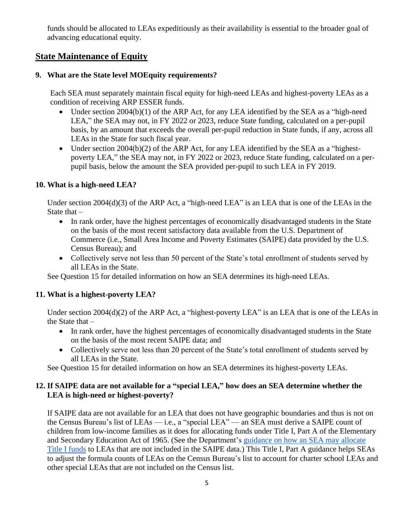funds should be allocated to LEAs expeditiously as their availability is essential to the broader goal of advancing educational equity.

## **State Maintenance of Equity**

#### **9. What are the State level MOEquity requirements?**

Each SEA must separately maintain fiscal equity for high-need LEAs and highest-poverty LEAs as a condition of receiving ARP ESSER funds.

- Under section 2004(b)(1) of the ARP Act, for any LEA identified by the SEA as a "high-need LEA," the SEA may not, in FY 2022 or 2023, reduce State funding, calculated on a per-pupil basis, by an amount that exceeds the overall per-pupil reduction in State funds, if any, across all LEAs in the State for such fiscal year.
- Under section 2004(b)(2) of the ARP Act, for any LEA identified by the SEA as a "highestpoverty LEA," the SEA may not, in FY 2022 or 2023, reduce State funding, calculated on a perpupil basis, below the amount the SEA provided per-pupil to such LEA in FY 2019.

#### **10. What is a high-need LEA?**

Under section 2004(d)(3) of the ARP Act, a "high-need LEA" is an LEA that is one of the LEAs in the State that  $-$ 

- In rank order, have the highest percentages of economically disadvantaged students in the State on the basis of the most recent satisfactory data available from the U.S. Department of Commerce (i.e., Small Area Income and Poverty Estimates (SAIPE) data provided by the U.S. Census Bureau); and
- Collectively serve not less than 50 percent of the State's total enrollment of students served by all LEAs in the State.

See Question 15 for detailed information on how an SEA determines its high-need LEAs.

#### **11. What is a highest-poverty LEA?**

Under section 2004(d)(2) of the ARP Act, a "highest-poverty LEA" is an LEA that is one of the LEAs in the State that  $-$ 

- In rank order, have the highest percentages of economically disadvantaged students in the State on the basis of the most recent SAIPE data; and
- Collectively serve not less than 20 percent of the State's total enrollment of students served by all LEAs in the State.

See Question 15 for detailed information on how an SEA determines its highest-poverty LEAs.

#### **12. If SAIPE data are not available for a "special LEA," how does an SEA determine whether the LEA is high-need or highest-poverty?**

If SAIPE data are not available for an LEA that does not have geographic boundaries and thus is not on the Census Bureau's list of LEAs — i.e., a "special LEA" — an SEA must derive a SAIPE count of children from low-income families as it does for allocating funds under Title I, Part A of the Elementary and Secondary Education Act of 1965. (See the Department's [guidance on how an SEA may](http://www2.ed.gov/programs/titleiparta/seaguidanceforadjustingallocations.doc) allocate [Title I funds](http://www2.ed.gov/programs/titleiparta/seaguidanceforadjustingallocations.doc) to LEAs that are not included in the SAIPE data.) This Title I, Part A guidance helps SEAs to adjust the formula counts of LEAs on the Census Bureau's list to account for charter school LEAs and other special LEAs that are not included on the Census list.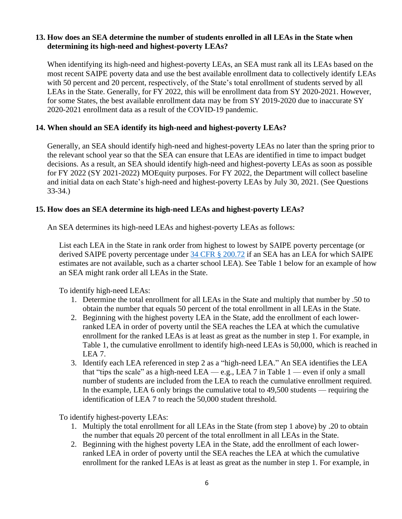#### **13. How does an SEA determine the number of students enrolled in all LEAs in the State when determining its high-need and highest-poverty LEAs?**

When identifying its high-need and highest-poverty LEAs, an SEA must rank all its LEAs based on the most recent SAIPE poverty data and use the best available enrollment data to collectively identify LEAs with 50 percent and 20 percent, respectively, of the State's total enrollment of students served by all LEAs in the State. Generally, for FY 2022, this will be enrollment data from SY 2020-2021. However, for some States, the best available enrollment data may be from SY 2019-2020 due to inaccurate SY 2020-2021 enrollment data as a result of the COVID-19 pandemic.

#### **14. When should an SEA identify its high-need and highest-poverty LEAs?**

Generally, an SEA should identify high-need and highest-poverty LEAs no later than the spring prior to the relevant school year so that the SEA can ensure that LEAs are identified in time to impact budget decisions. As a result, an SEA should identify high-need and highest-poverty LEAs as soon as possible for FY 2022 (SY 2021-2022) MOEquity purposes. For FY 2022, the Department will collect baseline and initial data on each State's high-need and highest-poverty LEAs by July 30, 2021. (See Questions 33-34.)

#### **15. How does an SEA determine its high-need LEAs and highest-poverty LEAs?**

An SEA determines its high-need LEAs and highest-poverty LEAs as follows:

List each LEA in the State in rank order from highest to lowest by SAIPE poverty percentage (or derived SAIPE poverty percentage under [34 CFR § 200.72](https://www.ecfr.gov/cgi-bin/retrieveECFR?gp=&SID=9155eb97d39c69348df12bb24560a070&mc=true&n=sp34.1.200.a&r=SUBPART&ty=HTML#se34.1.200_172) if an SEA has an LEA for which SAIPE estimates are not available, such as a charter school LEA). See Table 1 below for an example of how an SEA might rank order all LEAs in the State.

To identify high-need LEAs:

- 1. Determine the total enrollment for all LEAs in the State and multiply that number by .50 to obtain the number that equals 50 percent of the total enrollment in all LEAs in the State.
- 2. Beginning with the highest poverty LEA in the State, add the enrollment of each lowerranked LEA in order of poverty until the SEA reaches the LEA at which the cumulative enrollment for the ranked LEAs is at least as great as the number in step 1. For example, in Table 1, the cumulative enrollment to identify high-need LEAs is 50,000, which is reached in LEA 7.
- 3. Identify each LEA referenced in step 2 as a "high-need LEA." An SEA identifies the LEA that "tips the scale" as a high-need LEA — e.g., LEA 7 in Table  $1$  — even if only a small number of students are included from the LEA to reach the cumulative enrollment required. In the example, LEA 6 only brings the cumulative total to 49,500 students — requiring the identification of LEA 7 to reach the 50,000 student threshold.

To identify highest-poverty LEAs:

- 1. Multiply the total enrollment for all LEAs in the State (from step 1 above) by .20 to obtain the number that equals 20 percent of the total enrollment in all LEAs in the State.
- 2. Beginning with the highest poverty LEA in the State, add the enrollment of each lowerranked LEA in order of poverty until the SEA reaches the LEA at which the cumulative enrollment for the ranked LEAs is at least as great as the number in step 1. For example, in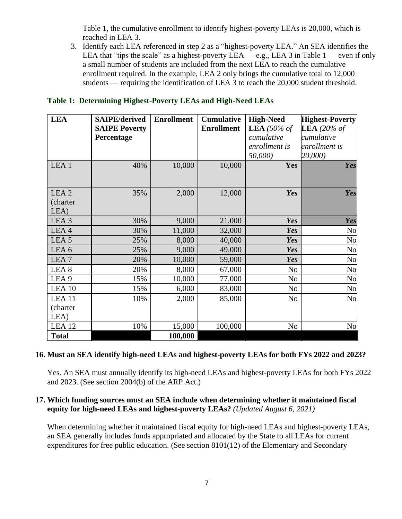Table 1, the cumulative enrollment to identify highest-poverty LEAs is 20,000, which is reached in LEA 3.

3. Identify each LEA referenced in step 2 as a "highest-poverty LEA." An SEA identifies the LEA that "tips the scale" as a highest-poverty LEA — e.g., LEA 3 in Table  $1$  — even if only a small number of students are included from the next LEA to reach the cumulative enrollment required. In the example, LEA 2 only brings the cumulative total to 12,000 students — requiring the identification of LEA 3 to reach the 20,000 student threshold.

| <b>LEA</b>        | <b>SAIPE/derived</b><br><b>SAIPE Poverty</b> | <b>Enrollment</b> | <b>Cumulative</b><br><b>Enrollment</b> | <b>High-Need</b><br>LEA $(50\% \text{ of }$ | <b>Highest-Poverty</b><br>LEA (20% of |
|-------------------|----------------------------------------------|-------------------|----------------------------------------|---------------------------------------------|---------------------------------------|
|                   | Percentage                                   |                   |                                        | cumulative                                  | cumulative                            |
|                   |                                              |                   |                                        | enrollment is                               | enrollment is                         |
|                   |                                              |                   |                                        | 50,000)                                     | 20,000)                               |
| LEA <sub>1</sub>  | 40%                                          | 10,000            | 10,000                                 | Yes                                         | Yes                                   |
|                   |                                              |                   |                                        |                                             |                                       |
| LEA <sub>2</sub>  | 35%                                          | 2,000             | 12,000                                 | Yes                                         | Yes                                   |
| (charter          |                                              |                   |                                        |                                             |                                       |
| LEA)              |                                              |                   |                                        |                                             |                                       |
| LEA <sub>3</sub>  | 30%                                          | 9,000             | 21,000                                 | Yes                                         | Yes                                   |
| LEA4              | 30%                                          | 11,000            | 32,000                                 | Yes                                         | No                                    |
| LEA <sub>5</sub>  | 25%                                          | 8,000             | 40,000                                 | Yes                                         | N <sub>o</sub>                        |
| LEA <sub>6</sub>  | 25%                                          | 9,000             | 49,000                                 | Yes                                         | No                                    |
| LEA <sub>7</sub>  | 20%                                          | 10,000            | 59,000                                 | Yes                                         | No                                    |
| LEA <sub>8</sub>  | 20%                                          | 8,000             | 67,000                                 | N <sub>o</sub>                              | No                                    |
| LEA <sub>9</sub>  | 15%                                          | 10,000            | 77,000                                 | N <sub>o</sub>                              | No                                    |
| LEA <sub>10</sub> | 15%                                          | 6,000             | 83,000                                 | N <sub>o</sub>                              | No                                    |
| LEA <sub>11</sub> | 10%                                          | 2,000             | 85,000                                 | N <sub>o</sub>                              | N <sub>o</sub>                        |
| (charter          |                                              |                   |                                        |                                             |                                       |
| LEA)              |                                              |                   |                                        |                                             |                                       |
| LEA <sub>12</sub> | 10%                                          | 15,000            | 100,000                                | No                                          | No                                    |
| <b>Total</b>      |                                              | 100,000           |                                        |                                             |                                       |

#### **Table 1: Determining Highest-Poverty LEAs and High-Need LEAs**

#### **16. Must an SEA identify high-need LEAs and highest-poverty LEAs for both FYs 2022 and 2023?**

Yes. An SEA must annually identify its high-need LEAs and highest-poverty LEAs for both FYs 2022 and 2023. (See section 2004(b) of the ARP Act.)

#### **17. Which funding sources must an SEA include when determining whether it maintained fiscal equity for high-need LEAs and highest-poverty LEAs?** *(Updated August 6, 2021)*

When determining whether it maintained fiscal equity for high-need LEAs and highest-poverty LEAs, an SEA generally includes funds appropriated and allocated by the State to all LEAs for current expenditures for free public education. (See section 8101(12) of the Elementary and Secondary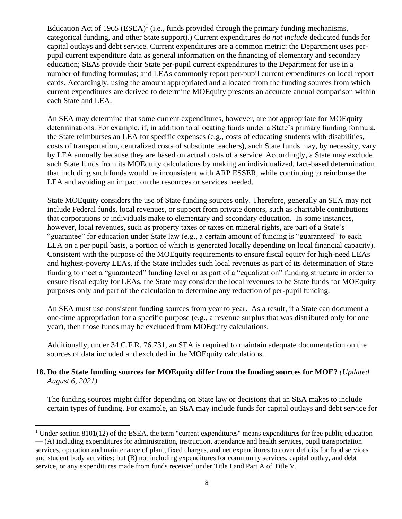Education Act of 1965  $(ESEA)^1$  (i.e., funds provided through the primary funding mechanisms, categorical funding, and other State support).) Current expenditures *do not include* dedicated funds for capital outlays and debt service. Current expenditures are a common metric: the Department uses perpupil current expenditure data as general information on the financing of elementary and secondary education; SEAs provide their State per-pupil current expenditures to the Department for use in a number of funding formulas; and LEAs commonly report per-pupil current expenditures on local report cards. Accordingly, using the amount appropriated and allocated from the funding sources from which current expenditures are derived to determine MOEquity presents an accurate annual comparison within each State and LEA.

An SEA may determine that some current expenditures, however, are not appropriate for MOEquity determinations. For example, if, in addition to allocating funds under a State's primary funding formula, the State reimburses an LEA for specific expenses (e.g., costs of educating students with disabilities, costs of transportation, centralized costs of substitute teachers), such State funds may, by necessity, vary by LEA annually because they are based on actual costs of a service. Accordingly, a State may exclude such State funds from its MOEquity calculations by making an individualized, fact-based determination that including such funds would be inconsistent with ARP ESSER, while continuing to reimburse the LEA and avoiding an impact on the resources or services needed.

State MOEquity considers the use of State funding sources only. Therefore, generally an SEA may not include Federal funds, local revenues, or support from private donors, such as charitable contributions that corporations or individuals make to elementary and secondary education. In some instances, however, local revenues, such as property taxes or taxes on mineral rights, are part of a State's "guarantee" for education under State law (e.g., a certain amount of funding is "guaranteed" to each LEA on a per pupil basis, a portion of which is generated locally depending on local financial capacity). Consistent with the purpose of the MOEquity requirements to ensure fiscal equity for high-need LEAs and highest-poverty LEAs, if the State includes such local revenues as part of its determination of State funding to meet a "guaranteed" funding level or as part of a "equalization" funding structure in order to ensure fiscal equity for LEAs, the State may consider the local revenues to be State funds for MOEquity purposes only and part of the calculation to determine any reduction of per-pupil funding.

An SEA must use consistent funding sources from year to year. As a result, if a State can document a one-time appropriation for a specific purpose (e.g., a revenue surplus that was distributed only for one year), then those funds may be excluded from MOEquity calculations.

Additionally, under 34 C.F.R. 76.731, an SEA is required to maintain adequate documentation on the sources of data included and excluded in the MOEquity calculations.

#### **18. Do the State funding sources for MOEquity differ from the funding sources for MOE?** *(Updated August 6, 2021)*

The funding sources might differ depending on State law or decisions that an SEA makes to include certain types of funding. For example, an SEA may include funds for capital outlays and debt service for

 $1$  Under section 8101(12) of the ESEA, the term "current expenditures" means expenditures for free public education — (A) including expenditures for administration, instruction, attendance and health services, pupil transportation services, operation and maintenance of plant, fixed charges, and net expenditures to cover deficits for food services and student body activities; but (B) not including expenditures for community services, capital outlay, and debt service, or any expenditures made from funds received under Title I and Part A of Title V.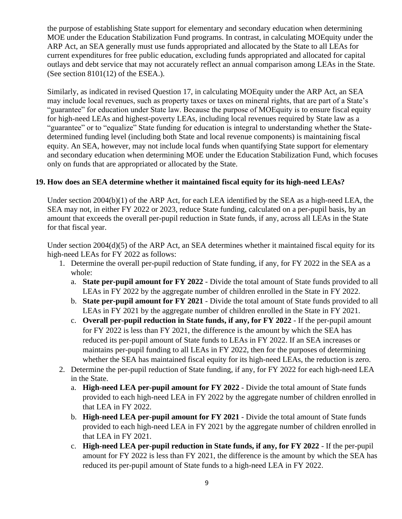the purpose of establishing State support for elementary and secondary education when determining MOE under the Education Stabilization Fund programs. In contrast, in calculating MOEquity under the ARP Act, an SEA generally must use funds appropriated and allocated by the State to all LEAs for current expenditures for free public education, excluding funds appropriated and allocated for capital outlays and debt service that may not accurately reflect an annual comparison among LEAs in the State. (See section  $8101(12)$  of the ESEA.).

Similarly, as indicated in revised Question 17, in calculating MOEquity under the ARP Act, an SEA may include local revenues, such as property taxes or taxes on mineral rights, that are part of a State's "guarantee" for education under State law. Because the purpose of MOEquity is to ensure fiscal equity for high-need LEAs and highest-poverty LEAs, including local revenues required by State law as a "guarantee" or to "equalize" State funding for education is integral to understanding whether the Statedetermined funding level (including both State and local revenue components) is maintaining fiscal equity. An SEA, however, may not include local funds when quantifying State support for elementary and secondary education when determining MOE under the Education Stabilization Fund, which focuses only on funds that are appropriated or allocated by the State.

#### **19. How does an SEA determine whether it maintained fiscal equity for its high-need LEAs?**

Under section 2004(b)(1) of the ARP Act, for each LEA identified by the SEA as a high-need LEA, the SEA may not, in either FY 2022 or 2023, reduce State funding, calculated on a per-pupil basis, by an amount that exceeds the overall per-pupil reduction in State funds, if any, across all LEAs in the State for that fiscal year.

Under section 2004(d)(5) of the ARP Act, an SEA determines whether it maintained fiscal equity for its high-need LEAs for FY 2022 as follows:

- 1. Determine the overall per-pupil reduction of State funding, if any, for FY 2022 in the SEA as a whole:
	- a. **State per-pupil amount for FY 2022** Divide the total amount of State funds provided to all LEAs in FY 2022 by the aggregate number of children enrolled in the State in FY 2022.
	- b. **State per-pupil amount for FY 2021** Divide the total amount of State funds provided to all LEAs in FY 2021 by the aggregate number of children enrolled in the State in FY 2021.
	- c. **Overall per-pupil reduction in State funds, if any, for FY 2022** If the per-pupil amount for FY 2022 is less than FY 2021, the difference is the amount by which the SEA has reduced its per-pupil amount of State funds to LEAs in FY 2022. If an SEA increases or maintains per-pupil funding to all LEAs in FY 2022, then for the purposes of determining whether the SEA has maintained fiscal equity for its high-need LEAs, the reduction is zero.
- 2. Determine the per-pupil reduction of State funding, if any, for FY 2022 for each high-need LEA in the State.
	- a. **High-need LEA per-pupil amount for FY 2022** Divide the total amount of State funds provided to each high-need LEA in FY 2022 by the aggregate number of children enrolled in that LEA in FY 2022.
	- b. **High-need LEA per-pupil amount for FY 2021** Divide the total amount of State funds provided to each high-need LEA in FY 2021 by the aggregate number of children enrolled in that LEA in FY 2021.
	- c. **High-need LEA per-pupil reduction in State funds, if any, for FY 2022** If the per-pupil amount for FY 2022 is less than FY 2021, the difference is the amount by which the SEA has reduced its per-pupil amount of State funds to a high-need LEA in FY 2022.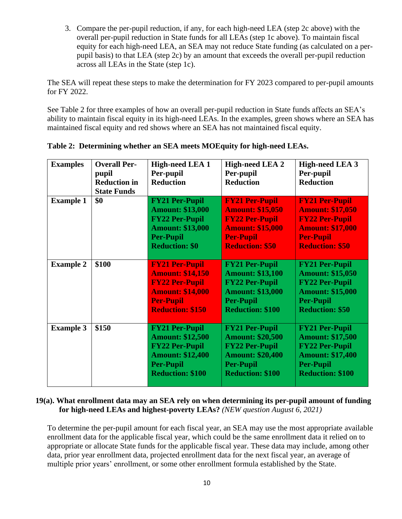3. Compare the per-pupil reduction, if any, for each high-need LEA (step 2c above) with the overall per-pupil reduction in State funds for all LEAs (step 1c above). To maintain fiscal equity for each high-need LEA, an SEA may not reduce State funding (as calculated on a perpupil basis) to that LEA (step 2c) by an amount that exceeds the overall per-pupil reduction across all LEAs in the State (step 1c).

The SEA will repeat these steps to make the determination for FY 2023 compared to per-pupil amounts for FY 2022.

See Table 2 for three examples of how an overall per-pupil reduction in State funds affects an SEA's ability to maintain fiscal equity in its high-need LEAs. In the examples, green shows where an SEA has maintained fiscal equity and red shows where an SEA has not maintained fiscal equity.

| <b>Examples</b>  | <b>Overall Per-</b><br>pupil<br><b>Reduction in</b><br><b>State Funds</b> | <b>High-need LEA 1</b><br>Per-pupil<br><b>Reduction</b>                                                                                             | <b>High-need LEA 2</b><br>Per-pupil<br><b>Reduction</b>                                                                                             | <b>High-need LEA 3</b><br>Per-pupil<br><b>Reduction</b>                                                                                             |
|------------------|---------------------------------------------------------------------------|-----------------------------------------------------------------------------------------------------------------------------------------------------|-----------------------------------------------------------------------------------------------------------------------------------------------------|-----------------------------------------------------------------------------------------------------------------------------------------------------|
| <b>Example 1</b> | \$0                                                                       | <b>FY21 Per-Pupil</b><br><b>Amount: \$13,000</b><br><b>FY22 Per-Pupil</b><br><b>Amount: \$13,000</b><br><b>Per-Pupil</b><br><b>Reduction: \$0</b>   | <b>FY21 Per-Pupil</b><br><b>Amount: \$15,050</b><br><b>FY22 Per-Pupil</b><br><b>Amount: \$15,000</b><br><b>Per-Pupil</b><br><b>Reduction: \$50</b>  | <b>FY21 Per-Pupil</b><br><b>Amount: \$17,050</b><br><b>FY22 Per-Pupil</b><br><b>Amount: \$17,000</b><br><b>Per-Pupil</b><br><b>Reduction: \$50</b>  |
| <b>Example 2</b> | \$100                                                                     | <b>FY21 Per-Pupil</b><br><b>Amount: \$14,150</b><br><b>FY22 Per-Pupil</b><br><b>Amount: \$14,000</b><br><b>Per-Pupil</b><br><b>Reduction: \$150</b> | <b>FY21 Per-Pupil</b><br><b>Amount: \$13,100</b><br><b>FY22 Per-Pupil</b><br><b>Amount: \$13,000</b><br><b>Per-Pupil</b><br><b>Reduction: \$100</b> | <b>FY21 Per-Pupil</b><br><b>Amount: \$15,050</b><br><b>FY22 Per-Pupil</b><br><b>Amount: \$15,000</b><br><b>Per-Pupil</b><br><b>Reduction: \$50</b>  |
| <b>Example 3</b> | \$150                                                                     | <b>FY21 Per-Pupil</b><br><b>Amount: \$12,500</b><br><b>FY22 Per-Pupil</b><br><b>Amount: \$12,400</b><br><b>Per-Pupil</b><br><b>Reduction: \$100</b> | <b>FY21 Per-Pupil</b><br><b>Amount: \$20,500</b><br><b>FY22 Per-Pupil</b><br><b>Amount: \$20,400</b><br><b>Per-Pupil</b><br><b>Reduction: \$100</b> | <b>FY21 Per-Pupil</b><br><b>Amount: \$17,500</b><br><b>FY22 Per-Pupil</b><br><b>Amount: \$17,400</b><br><b>Per-Pupil</b><br><b>Reduction: \$100</b> |

|  | Table 2: Determining whether an SEA meets MOEquity for high-need LEAs. |  |  |
|--|------------------------------------------------------------------------|--|--|
|  |                                                                        |  |  |

#### **19(a). What enrollment data may an SEA rely on when determining its per-pupil amount of funding for high-need LEAs and highest-poverty LEAs?** *(NEW question August 6, 2021)*

To determine the per-pupil amount for each fiscal year, an SEA may use the most appropriate available enrollment data for the applicable fiscal year, which could be the same enrollment data it relied on to appropriate or allocate State funds for the applicable fiscal year. These data may include, among other data, prior year enrollment data, projected enrollment data for the next fiscal year, an average of multiple prior years' enrollment, or some other enrollment formula established by the State.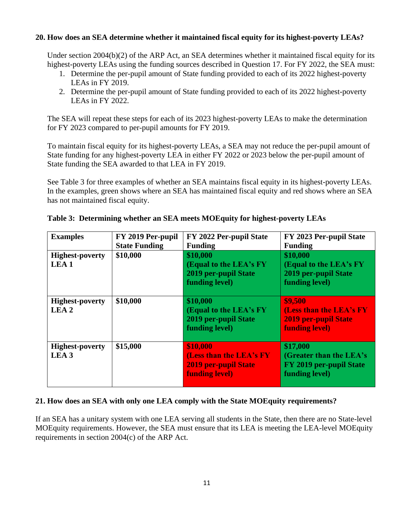#### **20. How does an SEA determine whether it maintained fiscal equity for its highest-poverty LEAs?**

Under section 2004(b)(2) of the ARP Act, an SEA determines whether it maintained fiscal equity for its highest-poverty LEAs using the funding sources described in Question 17. For FY 2022, the SEA must:

- 1. Determine the per-pupil amount of State funding provided to each of its 2022 highest-poverty LEAs in FY 2019.
- 2. Determine the per-pupil amount of State funding provided to each of its 2022 highest-poverty LEAs in FY 2022.

The SEA will repeat these steps for each of its 2023 highest-poverty LEAs to make the determination for FY 2023 compared to per-pupil amounts for FY 2019.

To maintain fiscal equity for its highest-poverty LEAs, a SEA may not reduce the per-pupil amount of State funding for any highest-poverty LEA in either FY 2022 or 2023 below the per-pupil amount of State funding the SEA awarded to that LEA in FY 2019.

See Table 3 for three examples of whether an SEA maintains fiscal equity in its highest-poverty LEAs. In the examples, green shows where an SEA has maintained fiscal equity and red shows where an SEA has not maintained fiscal equity.

| <b>Examples</b>                            | FY 2019 Per-pupil<br><b>State Funding</b> | FY 2022 Per-pupil State<br><b>Funding</b>                                                   | FY 2023 Per-pupil State<br><b>Funding</b>                                           |
|--------------------------------------------|-------------------------------------------|---------------------------------------------------------------------------------------------|-------------------------------------------------------------------------------------|
| <b>Highest-poverty</b><br>LEA <sub>1</sub> | \$10,000                                  | \$10,000<br>(Equal to the LEA's FY)<br>2019 per-pupil State<br>funding level)               | \$10,000<br>(Equal to the LEA's FY<br>2019 per-pupil State<br>funding level)        |
| <b>Highest-poverty</b><br>LEA <sub>2</sub> | \$10,000                                  | \$10,000<br>(Equal to the LEA's FY<br>2019 per-pupil State<br>funding level)                | \$9,500<br>(Less than the LEA's FY<br><b>2019 per-pupil State</b><br>funding level) |
| <b>Highest-poverty</b><br>LEA <sub>3</sub> | \$15,000                                  | \$10,000<br>(Less than the LEA's FY<br><b>2019 per-pupil State</b><br><b>funding level)</b> | \$17,000<br>(Greater than the LEA's<br>FY 2019 per-pupil State<br>funding level)    |

**Table 3: Determining whether an SEA meets MOEquity for highest-poverty LEAs**

#### **21. How does an SEA with only one LEA comply with the State MOEquity requirements?**

If an SEA has a unitary system with one LEA serving all students in the State, then there are no State-level MOEquity requirements. However, the SEA must ensure that its LEA is meeting the LEA-level MOEquity requirements in section 2004(c) of the ARP Act.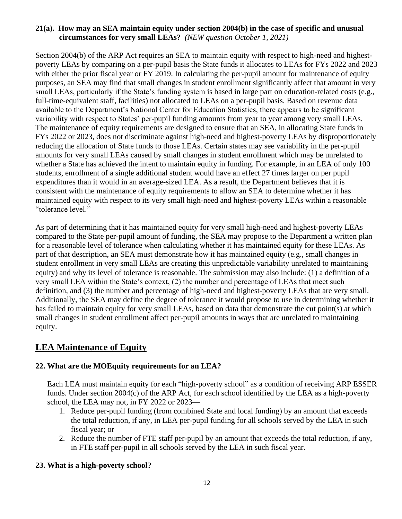#### **21(a). How may an SEA maintain equity under section 2004(b) in the case of specific and unusual circumstances for very small LEAs?** *(NEW question October 1, 2021)*

Section 2004(b) of the ARP Act requires an SEA to maintain equity with respect to high-need and highestpoverty LEAs by comparing on a per-pupil basis the State funds it allocates to LEAs for FYs 2022 and 2023 with either the prior fiscal year or FY 2019. In calculating the per-pupil amount for maintenance of equity purposes, an SEA may find that small changes in student enrollment significantly affect that amount in very small LEAs, particularly if the State's funding system is based in large part on education-related costs (e.g., full-time-equivalent staff, facilities) not allocated to LEAs on a per-pupil basis. Based on revenue data available to the Department's National Center for Education Statistics, there appears to be significant variability with respect to States' per-pupil funding amounts from year to year among very small LEAs. The maintenance of equity requirements are designed to ensure that an SEA, in allocating State funds in FYs 2022 or 2023, does not discriminate against high-need and highest-poverty LEAs by disproportionately reducing the allocation of State funds to those LEAs. Certain states may see variability in the per-pupil amounts for very small LEAs caused by small changes in student enrollment which may be unrelated to whether a State has achieved the intent to maintain equity in funding. For example, in an LEA of only 100 students, enrollment of a single additional student would have an effect 27 times larger on per pupil expenditures than it would in an average-sized LEA. As a result, the Department believes that it is consistent with the maintenance of equity requirements to allow an SEA to determine whether it has maintained equity with respect to its very small high-need and highest-poverty LEAs within a reasonable "tolerance level."

As part of determining that it has maintained equity for very small high-need and highest-poverty LEAs compared to the State per-pupil amount of funding, the SEA may propose to the Department a written plan for a reasonable level of tolerance when calculating whether it has maintained equity for these LEAs. As part of that description, an SEA must demonstrate how it has maintained equity (e.g., small changes in student enrollment in very small LEAs are creating this unpredictable variability unrelated to maintaining equity) and why its level of tolerance is reasonable. The submission may also include: (1) a definition of a very small LEA within the State's context, (2) the number and percentage of LEAs that meet such definition, and (3) the number and percentage of high-need and highest-poverty LEAs that are very small. Additionally, the SEA may define the degree of tolerance it would propose to use in determining whether it has failed to maintain equity for very small LEAs, based on data that demonstrate the cut point(s) at which small changes in student enrollment affect per-pupil amounts in ways that are unrelated to maintaining equity.

## **LEA Maintenance of Equity**

#### **22. What are the MOEquity requirements for an LEA?**

Each LEA must maintain equity for each "high-poverty school" as a condition of receiving ARP ESSER funds. Under section 2004(c) of the ARP Act, for each school identified by the LEA as a high-poverty school, the LEA may not, in FY 2022 or 2023—

- 1. Reduce per-pupil funding (from combined State and local funding) by an amount that exceeds the total reduction, if any, in LEA per-pupil funding for all schools served by the LEA in such fiscal year; or
- 2. Reduce the number of FTE staff per-pupil by an amount that exceeds the total reduction, if any, in FTE staff per-pupil in all schools served by the LEA in such fiscal year.

#### **23. What is a high-poverty school?**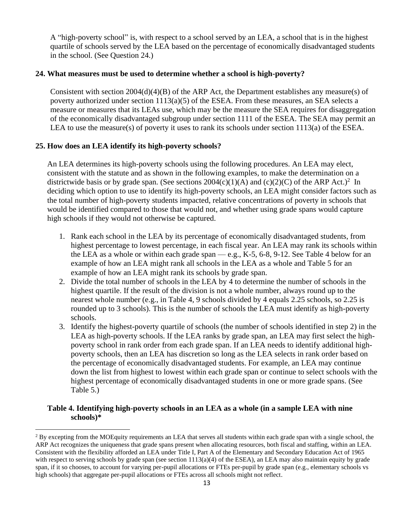A "high-poverty school" is, with respect to a school served by an LEA, a school that is in the highest quartile of schools served by the LEA based on the percentage of economically disadvantaged students in the school. (See Question 24.)

#### **24. What measures must be used to determine whether a school is high-poverty?**

Consistent with section  $2004(d)(4)(B)$  of the ARP Act, the Department establishes any measure(s) of poverty authorized under section 1113(a)(5) of the ESEA. From these measures, an SEA selects a measure or measures that its LEAs use, which may be the measure the SEA requires for disaggregation of the economically disadvantaged subgroup under section 1111 of the ESEA. The SEA may permit an LEA to use the measure(s) of poverty it uses to rank its schools under section  $1113(a)$  of the ESEA.

#### **25. How does an LEA identify its high-poverty schools?**

An LEA determines its high-poverty schools using the following procedures. An LEA may elect, consistent with the statute and as shown in the following examples, to make the determination on a districtwide basis or by grade span. (See sections  $2004(c)(1)(A)$  and  $(c)(2)(C)$  of the ARP Act.)<sup>2</sup> In deciding which option to use to identify its high-poverty schools, an LEA might consider factors such as the total number of high-poverty students impacted, relative concentrations of poverty in schools that would be identified compared to those that would not, and whether using grade spans would capture high schools if they would not otherwise be captured.

- 1. Rank each school in the LEA by its percentage of economically disadvantaged students, from highest percentage to lowest percentage, in each fiscal year. An LEA may rank its schools within the LEA as a whole or within each grade span — e.g., K-5,  $6-8$ ,  $9-12$ . See Table 4 below for an example of how an LEA might rank all schools in the LEA as a whole and Table 5 for an example of how an LEA might rank its schools by grade span.
- 2. Divide the total number of schools in the LEA by 4 to determine the number of schools in the highest quartile. If the result of the division is not a whole number, always round up to the nearest whole number (e.g., in Table 4, 9 schools divided by 4 equals 2.25 schools, so 2.25 is rounded up to 3 schools). This is the number of schools the LEA must identify as high-poverty schools.
- 3. Identify the highest-poverty quartile of schools (the number of schools identified in step 2) in the LEA as high-poverty schools. If the LEA ranks by grade span, an LEA may first select the highpoverty school in rank order from each grade span. If an LEA needs to identify additional highpoverty schools, then an LEA has discretion so long as the LEA selects in rank order based on the percentage of economically disadvantaged students. For example, an LEA may continue down the list from highest to lowest within each grade span or continue to select schools with the highest percentage of economically disadvantaged students in one or more grade spans. (See Table 5.)

#### **Table 4. Identifying high-poverty schools in an LEA as a whole (in a sample LEA with nine schools)\***

<sup>&</sup>lt;sup>2</sup> By excepting from the MOEquity requirements an LEA that serves all students within each grade span with a single school, the ARP Act recognizes the uniqueness that grade spans present when allocating resources, both fiscal and staffing, within an LEA. Consistent with the flexibility afforded an LEA under Title I, Part A of the Elementary and Secondary Education Act of 1965 with respect to serving schools by grade span (see section  $1113(a)(4)$  of the ESEA), an LEA may also maintain equity by grade span, if it so chooses, to account for varying per-pupil allocations or FTEs per-pupil by grade span (e.g., elementary schools vs high schools) that aggregate per-pupil allocations or FTEs across all schools might not reflect.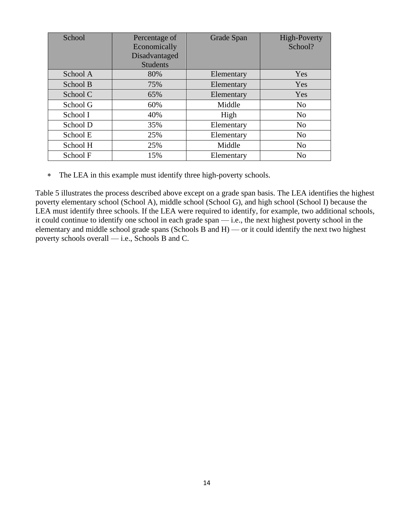| School   | Percentage of   |            | High-Poverty   |
|----------|-----------------|------------|----------------|
|          | Economically    |            | School?        |
|          | Disadvantaged   |            |                |
|          | <b>Students</b> |            |                |
| School A | 80%             | Elementary | Yes            |
| School B | 75%             | Elementary | Yes            |
| School C | 65%             | Elementary | Yes            |
| School G | 60%             | Middle     | N <sub>o</sub> |
| School I | 40%             | High       | No             |
| School D | 35%             | Elementary | No             |
| School E | 25%             | Elementary | No             |
| School H | 25%             | Middle     | No             |
| School F | 15%             | Elementary | N <sub>o</sub> |

The LEA in this example must identify three high-poverty schools.

Table 5 illustrates the process described above except on a grade span basis. The LEA identifies the highest poverty elementary school (School A), middle school (School G), and high school (School I) because the LEA must identify three schools. If the LEA were required to identify, for example, two additional schools, it could continue to identify one school in each grade span — i.e., the next highest poverty school in the elementary and middle school grade spans (Schools B and H) — or it could identify the next two highest poverty schools overall — i.e., Schools B and C.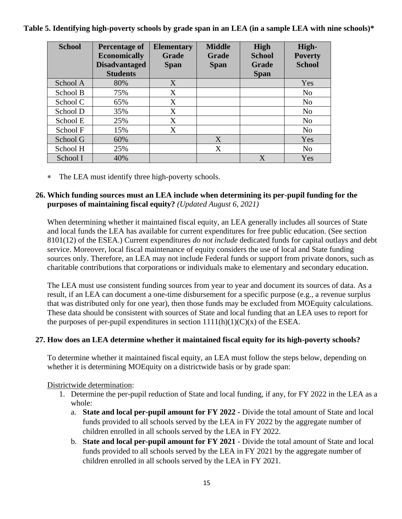**Table 5. Identifying high-poverty schools by grade span in an LEA (in a sample LEA with nine schools)\***

| <b>School</b> | <b>Percentage of</b><br><b>Economically</b><br><b>Disadvantaged</b><br><b>Students</b> | <b>Elementary</b><br>Grade<br><b>Span</b> | <b>Middle</b><br>Grade<br><b>Span</b> | <b>High</b><br><b>School</b><br>Grade<br><b>Span</b> | High-<br><b>Poverty</b><br><b>School</b> |
|---------------|----------------------------------------------------------------------------------------|-------------------------------------------|---------------------------------------|------------------------------------------------------|------------------------------------------|
| School A      | 80%                                                                                    | X                                         |                                       |                                                      | Yes                                      |
| School B      | 75%                                                                                    | X                                         |                                       |                                                      | N <sub>o</sub>                           |
| School C      | 65%                                                                                    | X                                         |                                       |                                                      | N <sub>0</sub>                           |
| School D      | 35%                                                                                    | X                                         |                                       |                                                      | N <sub>0</sub>                           |
| School E      | 25%                                                                                    | X                                         |                                       |                                                      | N <sub>o</sub>                           |
| School F      | 15%                                                                                    | X                                         |                                       |                                                      | N <sub>o</sub>                           |
| School G      | 60%                                                                                    |                                           | X                                     |                                                      | Yes                                      |
| School H      | 25%                                                                                    |                                           | X                                     |                                                      | N <sub>0</sub>                           |
| School I      | 40%                                                                                    |                                           |                                       | X                                                    | Yes                                      |

The LEA must identify three high-poverty schools.

#### **26. Which funding sources must an LEA include when determining its per-pupil funding for the purposes of maintaining fiscal equity?** *(Updated August 6, 2021)*

When determining whether it maintained fiscal equity, an LEA generally includes all sources of State and local funds the LEA has available for current expenditures for free public education. (See section 8101(12) of the ESEA.) Current expenditures *do not include* dedicated funds for capital outlays and debt service. Moreover, local fiscal maintenance of equity considers the use of local and State funding sources only. Therefore, an LEA may not include Federal funds or support from private donors, such as charitable contributions that corporations or individuals make to elementary and secondary education.

The LEA must use consistent funding sources from year to year and document its sources of data. As a result, if an LEA can document a one-time disbursement for a specific purpose (e.g., a revenue surplus that was distributed only for one year), then those funds may be excluded from MOEquity calculations. These data should be consistent with sources of State and local funding that an LEA uses to report for the purposes of per-pupil expenditures in section  $1111(h)(1)(C)(x)$  of the ESEA.

### **27. How does an LEA determine whether it maintained fiscal equity for its high-poverty schools?**

To determine whether it maintained fiscal equity, an LEA must follow the steps below, depending on whether it is determining MOEquity on a districtwide basis or by grade span:

#### Districtwide determination:

- 1. Determine the per-pupil reduction of State and local funding, if any, for FY 2022 in the LEA as a whole:
	- a. **State and local per-pupil amount for FY 2022 -** Divide the total amount of State and local funds provided to all schools served by the LEA in FY 2022 by the aggregate number of children enrolled in all schools served by the LEA in FY 2022.
	- b. **State and local per-pupil amount for FY 2021** Divide the total amount of State and local funds provided to all schools served by the LEA in FY 2021 by the aggregate number of children enrolled in all schools served by the LEA in FY 2021.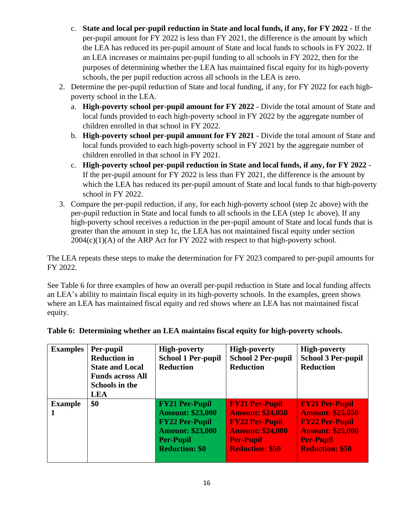- c. **State and local per-pupil reduction in State and local funds, if any, for FY 2022** If the per-pupil amount for FY 2022 is less than FY 2021, the difference is the amount by which the LEA has reduced its per-pupil amount of State and local funds to schools in FY 2022. If an LEA increases or maintains per-pupil funding to all schools in FY 2022, then for the purposes of determining whether the LEA has maintained fiscal equity for its high-poverty schools, the per pupil reduction across all schools in the LEA is zero.
- 2. Determine the per-pupil reduction of State and local funding, if any, for FY 2022 for each highpoverty school in the LEA.
	- a. **High-poverty school per-pupil amount for FY 2022** Divide the total amount of State and local funds provided to each high-poverty school in FY 2022 by the aggregate number of children enrolled in that school in FY 2022.
	- b. **High-poverty school per-pupil amount for FY 2021** Divide the total amount of State and local funds provided to each high-poverty school in FY 2021 by the aggregate number of children enrolled in that school in FY 2021.
	- c. **High-poverty school per-pupil reduction in State and local funds, if any, for FY 2022** If the per-pupil amount for FY 2022 is less than FY 2021, the difference is the amount by which the LEA has reduced its per-pupil amount of State and local funds to that high-poverty school in FY 2022.
- 3. Compare the per-pupil reduction, if any, for each high-poverty school (step 2c above) with the per-pupil reduction in State and local funds to all schools in the LEA (step 1c above). If any high-poverty school receives a reduction in the per-pupil amount of State and local funds that is greater than the amount in step 1c, the LEA has not maintained fiscal equity under section  $2004(c)(1)(A)$  of the ARP Act for FY 2022 with respect to that high-poverty school.

The LEA repeats these steps to make the determination for FY 2023 compared to per-pupil amounts for FY 2022.

See Table 6 for three examples of how an overall per-pupil reduction in State and local funding affects an LEA's ability to maintain fiscal equity in its high-poverty schools. In the examples, green shows where an LEA has maintained fiscal equity and red shows where an LEA has not maintained fiscal equity.

| <b>Examples</b> | Per-pupil<br><b>Reduction in</b><br><b>State and Local</b><br><b>Funds across All</b><br><b>Schools in the</b><br><b>LEA</b> | <b>High-poverty</b><br><b>School 1 Per-pupil</b><br><b>Reduction</b>                                                                              | <b>High-poverty</b><br><b>School 2 Per-pupil</b><br><b>Reduction</b>                                                                               | <b>High-poverty</b><br><b>School 3 Per-pupil</b><br><b>Reduction</b>                                                                               |
|-----------------|------------------------------------------------------------------------------------------------------------------------------|---------------------------------------------------------------------------------------------------------------------------------------------------|----------------------------------------------------------------------------------------------------------------------------------------------------|----------------------------------------------------------------------------------------------------------------------------------------------------|
| <b>Example</b>  | \$0                                                                                                                          | <b>FY21 Per-Pupil</b><br><b>Amount: \$23,000</b><br><b>FY22 Per-Pupil</b><br><b>Amount: \$23,000</b><br><b>Per-Pupil</b><br><b>Reduction: \$0</b> | <b>FY21 Per-Pupil</b><br><b>Amount: \$24,050</b><br><b>FY22 Per-Pupil</b><br><b>Amount: \$24,000</b><br><b>Per-Pupil</b><br><b>Reduction: \$50</b> | <b>FY21 Per-Pupil</b><br><b>Amount: \$25,050</b><br><b>FY22 Per-Pupil</b><br><b>Amount: \$25,000</b><br><b>Per-Pupil</b><br><b>Reduction: \$50</b> |

| Table 6: Determining whether an LEA maintains fiscal equity for high-poverty schools. |  |
|---------------------------------------------------------------------------------------|--|
|                                                                                       |  |
|                                                                                       |  |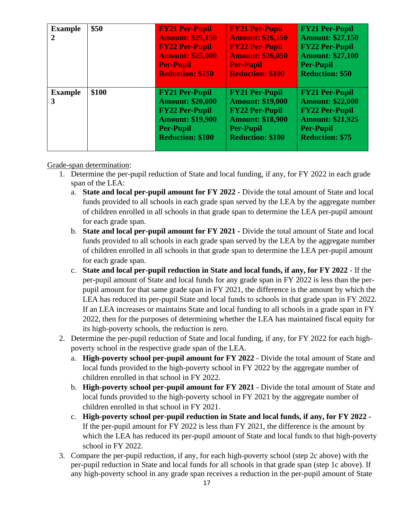| <b>Example</b><br>$\mathbf{2}$ | \$50  | <b>FY21 Per-Pupil</b><br><b>Amount: \$25,150</b><br><b>FY22 Per-Pupil</b><br><b>Amount: \$25,000</b><br><b>Per-Pupil</b><br><b>Reduction: \$150</b> | <b>FY21 Per-Pupil</b><br><b>Amount: \$26,150</b><br><b>FY22 Per-Pupil</b><br><b>Amount: \$26,050</b><br><b>Per-Pupil</b><br><b>Reduction: \$100</b> | <b>FY21 Per-Pupil</b><br><b>Amount: \$27,150</b><br><b>FY22 Per-Pupil</b><br><b>Amount: \$27,100</b><br><b>Per-Pupil</b><br><b>Reduction: \$50</b> |
|--------------------------------|-------|-----------------------------------------------------------------------------------------------------------------------------------------------------|-----------------------------------------------------------------------------------------------------------------------------------------------------|----------------------------------------------------------------------------------------------------------------------------------------------------|
| <b>Example</b><br>3            | \$100 | <b>FY21 Per-Pupil</b><br><b>Amount: \$20,000</b><br><b>FY22 Per-Pupil</b><br><b>Amount: \$19,900</b><br><b>Per-Pupil</b><br><b>Reduction: \$100</b> | <b>FY21 Per-Pupil</b><br><b>Amount: \$19,000</b><br><b>FY22 Per-Pupil</b><br><b>Amount: \$18,900</b><br><b>Per-Pupil</b><br><b>Reduction: \$100</b> | <b>FY21 Per-Pupil</b><br><b>Amount: \$22,000</b><br><b>FY22 Per-Pupil</b><br><b>Amount: \$21,925</b><br><b>Per-Pupil</b><br><b>Reduction: \$75</b> |

Grade-span determination:

- 1. Determine the per-pupil reduction of State and local funding, if any, for FY 2022 in each grade span of the LEA:
	- a. **State and local per-pupil amount for FY 2022 -** Divide the total amount of State and local funds provided to all schools in each grade span served by the LEA by the aggregate number of children enrolled in all schools in that grade span to determine the LEA per-pupil amount for each grade span.
	- b. **State and local per-pupil amount for FY 2021 -** Divide the total amount of State and local funds provided to all schools in each grade span served by the LEA by the aggregate number of children enrolled in all schools in that grade span to determine the LEA per-pupil amount for each grade span.
	- c. **State and local per-pupil reduction in State and local funds, if any, for FY 2022** If the per-pupil amount of State and local funds for any grade span in FY 2022 is less than the perpupil amount for that same grade span in FY 2021, the difference is the amount by which the LEA has reduced its per-pupil State and local funds to schools in that grade span in FY 2022. If an LEA increases or maintains State and local funding to all schools in a grade span in FY 2022, then for the purposes of determining whether the LEA has maintained fiscal equity for its high-poverty schools, the reduction is zero.
- 2. Determine the per-pupil reduction of State and local funding, if any, for FY 2022 for each highpoverty school in the respective grade span of the LEA.
	- a. **High-poverty school per-pupil amount for FY 2022** Divide the total amount of State and local funds provided to the high-poverty school in FY 2022 by the aggregate number of children enrolled in that school in FY 2022.
	- b. **High-poverty school per-pupil amount for FY 2021** Divide the total amount of State and local funds provided to the high-poverty school in FY 2021 by the aggregate number of children enrolled in that school in FY 2021.
	- c. **High-poverty school per-pupil reduction in State and local funds, if any, for FY 2022** If the per-pupil amount for FY 2022 is less than FY 2021, the difference is the amount by which the LEA has reduced its per-pupil amount of State and local funds to that high-poverty school in FY 2022.
- 3. Compare the per-pupil reduction, if any, for each high-poverty school (step 2c above) with the per-pupil reduction in State and local funds for all schools in that grade span (step 1c above). If any high-poverty school in any grade span receives a reduction in the per-pupil amount of State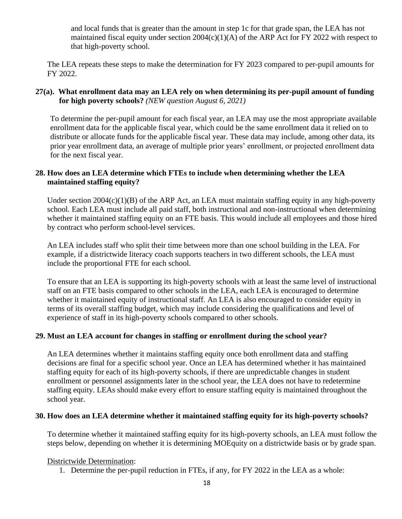and local funds that is greater than the amount in step 1c for that grade span, the LEA has not maintained fiscal equity under section  $2004(c)(1)(A)$  of the ARP Act for FY 2022 with respect to that high-poverty school.

The LEA repeats these steps to make the determination for FY 2023 compared to per-pupil amounts for FY 2022.

#### **27(a). What enrollment data may an LEA rely on when determining its per-pupil amount of funding for high poverty schools?** *(NEW question August 6, 2021)*

To determine the per-pupil amount for each fiscal year, an LEA may use the most appropriate available enrollment data for the applicable fiscal year, which could be the same enrollment data it relied on to distribute or allocate funds for the applicable fiscal year. These data may include, among other data, its prior year enrollment data, an average of multiple prior years' enrollment, or projected enrollment data for the next fiscal year.

#### **28. How does an LEA determine which FTEs to include when determining whether the LEA maintained staffing equity?**

Under section 2004(c)(1)(B) of the ARP Act, an LEA must maintain staffing equity in any high-poverty school. Each LEA must include all paid staff, both instructional and non-instructional when determining whether it maintained staffing equity on an FTE basis. This would include all employees and those hired by contract who perform school-level services.

An LEA includes staff who split their time between more than one school building in the LEA. For example, if a districtwide literacy coach supports teachers in two different schools, the LEA must include the proportional FTE for each school.

To ensure that an LEA is supporting its high-poverty schools with at least the same level of instructional staff on an FTE basis compared to other schools in the LEA, each LEA is encouraged to determine whether it maintained equity of instructional staff. An LEA is also encouraged to consider equity in terms of its overall staffing budget, which may include considering the qualifications and level of experience of staff in its high-poverty schools compared to other schools.

#### **29. Must an LEA account for changes in staffing or enrollment during the school year?**

An LEA determines whether it maintains staffing equity once both enrollment data and staffing decisions are final for a specific school year. Once an LEA has determined whether it has maintained staffing equity for each of its high-poverty schools, if there are unpredictable changes in student enrollment or personnel assignments later in the school year, the LEA does not have to redetermine staffing equity. LEAs should make every effort to ensure staffing equity is maintained throughout the school year.

#### **30. How does an LEA determine whether it maintained staffing equity for its high-poverty schools?**

To determine whether it maintained staffing equity for its high-poverty schools, an LEA must follow the steps below, depending on whether it is determining MOEquity on a districtwide basis or by grade span.

#### Districtwide Determination:

1. Determine the per-pupil reduction in FTEs, if any, for FY 2022 in the LEA as a whole: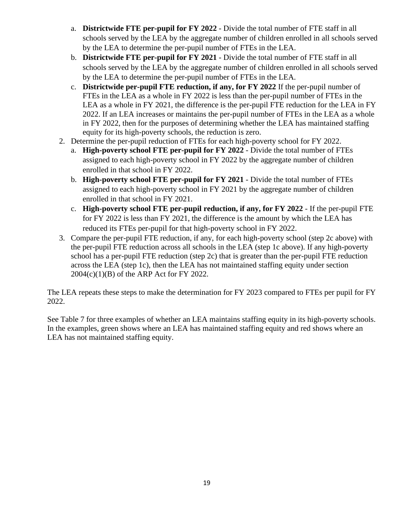- a. **Districtwide FTE per-pupil for FY 2022** Divide the total number of FTE staff in all schools served by the LEA by the aggregate number of children enrolled in all schools served by the LEA to determine the per-pupil number of FTEs in the LEA.
- b. **Districtwide FTE per-pupil for FY 2021** Divide the total number of FTE staff in all schools served by the LEA by the aggregate number of children enrolled in all schools served by the LEA to determine the per-pupil number of FTEs in the LEA.
- c. **Districtwide per-pupil FTE reduction, if any, for FY 2022** If the per-pupil number of FTEs in the LEA as a whole in FY 2022 is less than the per-pupil number of FTEs in the LEA as a whole in FY 2021, the difference is the per-pupil FTE reduction for the LEA in FY 2022. If an LEA increases or maintains the per-pupil number of FTEs in the LEA as a whole in FY 2022, then for the purposes of determining whether the LEA has maintained staffing equity for its high-poverty schools, the reduction is zero.
- 2. Determine the per-pupil reduction of FTEs for each high-poverty school for FY 2022.
	- a. **High-poverty school FTE per-pupil for FY 2022** Divide the total number of FTEs assigned to each high-poverty school in FY 2022 by the aggregate number of children enrolled in that school in FY 2022.
	- b. **High-poverty school FTE per-pupil for FY 2021** Divide the total number of FTEs assigned to each high-poverty school in FY 2021 by the aggregate number of children enrolled in that school in FY 2021.
	- c. **High-poverty school FTE per-pupil reduction, if any, for FY 2022** If the per-pupil FTE for FY 2022 is less than FY 2021, the difference is the amount by which the LEA has reduced its FTEs per-pupil for that high-poverty school in FY 2022.
- 3. Compare the per-pupil FTE reduction, if any, for each high-poverty school (step 2c above) with the per-pupil FTE reduction across all schools in the LEA (step 1c above). If any high-poverty school has a per-pupil FTE reduction (step 2c) that is greater than the per-pupil FTE reduction across the LEA (step 1c), then the LEA has not maintained staffing equity under section 2004(c)(1)(B) of the ARP Act for FY 2022.

The LEA repeats these steps to make the determination for FY 2023 compared to FTEs per pupil for FY 2022.

See Table 7 for three examples of whether an LEA maintains staffing equity in its high-poverty schools. In the examples, green shows where an LEA has maintained staffing equity and red shows where an LEA has not maintained staffing equity.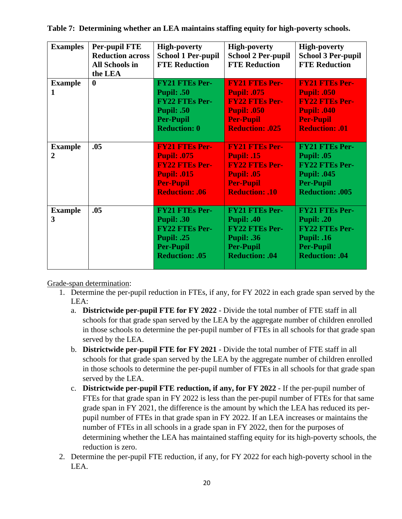| <b>Examples</b>                | <b>Per-pupil FTE</b><br><b>Reduction across</b><br>All Schools in<br>the LEA | <b>High-poverty</b><br><b>School 1 Per-pupil</b><br><b>FTE Reduction</b>                                                                | <b>High-poverty</b><br><b>School 2 Per-pupil</b><br><b>FTE Reduction</b>                                                                 | <b>High-poverty</b><br><b>School 3 Per-pupil</b><br><b>FTE Reduction</b>                                                                |
|--------------------------------|------------------------------------------------------------------------------|-----------------------------------------------------------------------------------------------------------------------------------------|------------------------------------------------------------------------------------------------------------------------------------------|-----------------------------------------------------------------------------------------------------------------------------------------|
| <b>Example</b><br>1            | $\mathbf{0}$                                                                 | <b>FY21 FTEs Per-</b><br><b>Pupil: .50</b><br><b>FY22 FTEs Per-</b><br><b>Pupil: .50</b><br><b>Per-Pupil</b><br><b>Reduction: 0</b>     | <b>FY21 FTEs Per-</b><br><b>Pupil: .075</b><br><b>FY22 FTEs Per-</b><br><b>Pupil: .050</b><br><b>Per-Pupil</b><br><b>Reduction: .025</b> | <b>FY21 FTEs Per-</b><br><b>Pupil: .050</b><br><b>FY22 FTEs Per-</b><br><b>Pupil: .040</b><br><b>Per-Pupil</b><br><b>Reduction: .01</b> |
| <b>Example</b><br>$\mathbf{2}$ | .05                                                                          | <b>FY21 FTEs Per-</b><br><b>Pupil: .075</b><br><b>FY22 FTEs Per-</b><br><b>Pupil: .015</b><br><b>Per-Pupil</b><br><b>Reduction: .06</b> | <b>FY21 FTEs Per-</b><br><b>Pupil: .15</b><br><b>FY22 FTEs Per-</b><br><b>Pupil: .05</b><br><b>Per-Pupil</b><br><b>Reduction: .10</b>    | <b>FY21 FTEs Per-</b><br><b>Pupil: .05</b><br><b>FY22 FTEs Per-</b><br><b>Pupil: .045</b><br><b>Per-Pupil</b><br><b>Reduction: .005</b> |
| <b>Example</b><br>3            | .05                                                                          | <b>FY21 FTEs Per-</b><br>Pupil: .30<br><b>FY22 FTEs Per-</b><br><b>Pupil: .25</b><br><b>Per-Pupil</b><br><b>Reduction: .05</b>          | <b>FY21 FTEs Per-</b><br><b>Pupil: .40</b><br><b>FY22 FTEs Per-</b><br><b>Pupil: .36</b><br><b>Per-Pupil</b><br>Reduction: .04           | <b>FY21 FTEs Per-</b><br><b>Pupil: .20</b><br><b>FY22 FTEs Per-</b><br><b>Pupil: .16</b><br><b>Per-Pupil</b><br>Reduction: .04          |

**Table 7: Determining whether an LEA maintains staffing equity for high-poverty schools.**

Grade-span determination:

- 1. Determine the per-pupil reduction in FTEs, if any, for FY 2022 in each grade span served by the LEA:
	- a. **Districtwide per-pupil FTE for FY 2022** Divide the total number of FTE staff in all schools for that grade span served by the LEA by the aggregate number of children enrolled in those schools to determine the per-pupil number of FTEs in all schools for that grade span served by the LEA.
	- b. **Districtwide per-pupil FTE for FY 2021** Divide the total number of FTE staff in all schools for that grade span served by the LEA by the aggregate number of children enrolled in those schools to determine the per-pupil number of FTEs in all schools for that grade span served by the LEA.
	- c. **Districtwide per-pupil FTE reduction, if any, for FY 2022** If the per-pupil number of FTEs for that grade span in FY 2022 is less than the per-pupil number of FTEs for that same grade span in FY 2021, the difference is the amount by which the LEA has reduced its perpupil number of FTEs in that grade span in FY 2022. If an LEA increases or maintains the number of FTEs in all schools in a grade span in FY 2022, then for the purposes of determining whether the LEA has maintained staffing equity for its high-poverty schools, the reduction is zero.
- 2. Determine the per-pupil FTE reduction, if any, for FY 2022 for each high-poverty school in the LEA.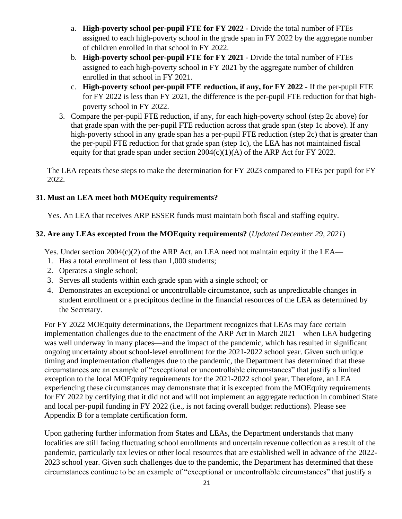- a. **High-poverty school per-pupil FTE for FY 2022** Divide the total number of FTEs assigned to each high-poverty school in the grade span in FY 2022 by the aggregate number of children enrolled in that school in FY 2022.
- b. **High-poverty school per-pupil FTE for FY 2021** Divide the total number of FTEs assigned to each high-poverty school in FY 2021 by the aggregate number of children enrolled in that school in FY 2021.
- c. **High-poverty school per-pupil FTE reduction, if any, for FY 2022** If the per-pupil FTE for FY 2022 is less than FY 2021, the difference is the per-pupil FTE reduction for that highpoverty school in FY 2022.
- 3. Compare the per-pupil FTE reduction, if any, for each high-poverty school (step 2c above) for that grade span with the per-pupil FTE reduction across that grade span (step 1c above). If any high-poverty school in any grade span has a per-pupil FTE reduction (step 2c) that is greater than the per-pupil FTE reduction for that grade span (step 1c), the LEA has not maintained fiscal equity for that grade span under section  $2004(c)(1)(A)$  of the ARP Act for FY 2022.

The LEA repeats these steps to make the determination for FY 2023 compared to FTEs per pupil for FY 2022.

#### **31. Must an LEA meet both MOEquity requirements?**

Yes. An LEA that receives ARP ESSER funds must maintain both fiscal and staffing equity.

#### **32. Are any LEAs excepted from the MOEquity requirements?** (*Updated December 29, 2021*)

Yes. Under section  $2004(c)(2)$  of the ARP Act, an LEA need not maintain equity if the LEA—

- 1. Has a total enrollment of less than 1,000 students;
- 2. Operates a single school;
- 3. Serves all students within each grade span with a single school; or
- 4. Demonstrates an exceptional or uncontrollable circumstance, such as unpredictable changes in student enrollment or a precipitous decline in the financial resources of the LEA as determined by the Secretary.

For FY 2022 MOEquity determinations, the Department recognizes that LEAs may face certain implementation challenges due to the enactment of the ARP Act in March 2021—when LEA budgeting was well underway in many places—and the impact of the pandemic, which has resulted in significant ongoing uncertainty about school-level enrollment for the 2021-2022 school year. Given such unique timing and implementation challenges due to the pandemic, the Department has determined that these circumstances are an example of "exceptional or uncontrollable circumstances" that justify a limited exception to the local MOEquity requirements for the 2021-2022 school year. Therefore, an LEA experiencing these circumstances may demonstrate that it is excepted from the MOEquity requirements for FY 2022 by certifying that it did not and will not implement an aggregate reduction in combined State and local per-pupil funding in FY 2022 (i.e., is not facing overall budget reductions). Please see Appendix B for a template certification form.

Upon gathering further information from States and LEAs, the Department understands that many localities are still facing fluctuating school enrollments and uncertain revenue collection as a result of the pandemic, particularly tax levies or other local resources that are established well in advance of the 2022- 2023 school year. Given such challenges due to the pandemic, the Department has determined that these circumstances continue to be an example of "exceptional or uncontrollable circumstances" that justify a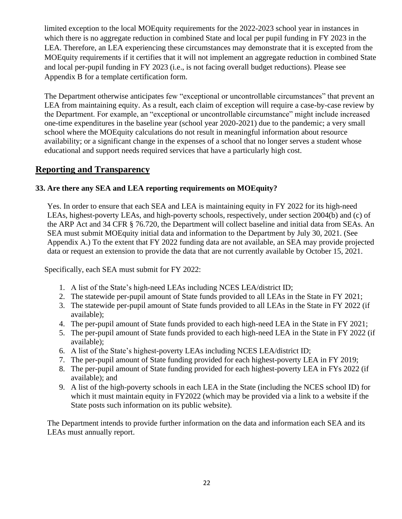limited exception to the local MOEquity requirements for the 2022-2023 school year in instances in which there is no aggregate reduction in combined State and local per pupil funding in FY 2023 in the LEA. Therefore, an LEA experiencing these circumstances may demonstrate that it is excepted from the MOEquity requirements if it certifies that it will not implement an aggregate reduction in combined State and local per-pupil funding in FY 2023 (i.e., is not facing overall budget reductions). Please see Appendix B for a template certification form.

The Department otherwise anticipates few "exceptional or uncontrollable circumstances" that prevent an LEA from maintaining equity. As a result, each claim of exception will require a case-by-case review by the Department. For example, an "exceptional or uncontrollable circumstance" might include increased one-time expenditures in the baseline year (school year 2020-2021) due to the pandemic; a very small school where the MOEquity calculations do not result in meaningful information about resource availability; or a significant change in the expenses of a school that no longer serves a student whose educational and support needs required services that have a particularly high cost.

### **Reporting and Transparency**

#### **33. Are there any SEA and LEA reporting requirements on MOEquity?**

Yes. In order to ensure that each SEA and LEA is maintaining equity in FY 2022 for its high-need LEAs, highest-poverty LEAs, and high-poverty schools, respectively, under section 2004(b) and (c) of the ARP Act and 34 CFR § 76.720, the Department will collect baseline and initial data from SEAs. An SEA must submit MOEquity initial data and information to the Department by July 30, 2021. (See Appendix A.) To the extent that FY 2022 funding data are not available, an SEA may provide projected data or request an extension to provide the data that are not currently available by October 15, 2021.

Specifically, each SEA must submit for FY 2022:

- 1. A list of the State's high-need LEAs including NCES LEA/district ID;
- 2. The statewide per-pupil amount of State funds provided to all LEAs in the State in FY 2021;
- 3. The statewide per-pupil amount of State funds provided to all LEAs in the State in FY 2022 (if available);
- 4. The per-pupil amount of State funds provided to each high-need LEA in the State in FY 2021;
- 5. The per-pupil amount of State funds provided to each high-need LEA in the State in FY 2022 (if available);
- 6. A list of the State's highest-poverty LEAs including NCES LEA/district ID;
- 7. The per-pupil amount of State funding provided for each highest-poverty LEA in FY 2019;
- 8. The per-pupil amount of State funding provided for each highest-poverty LEA in FYs 2022 (if available); and
- 9. A list of the high-poverty schools in each LEA in the State (including the NCES school ID) for which it must maintain equity in FY2022 (which may be provided via a link to a website if the State posts such information on its public website).

The Department intends to provide further information on the data and information each SEA and its LEAs must annually report.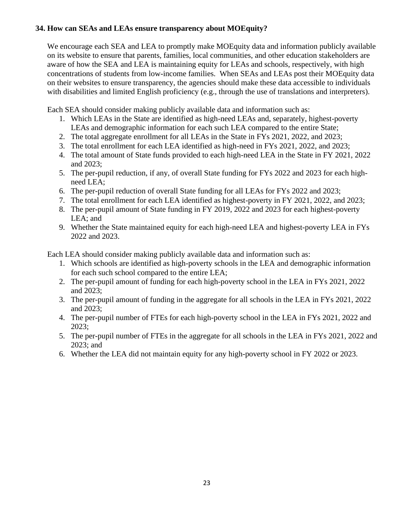#### **34. How can SEAs and LEAs ensure transparency about MOEquity?**

We encourage each SEA and LEA to promptly make MOEquity data and information publicly available on its website to ensure that parents, families, local communities, and other education stakeholders are aware of how the SEA and LEA is maintaining equity for LEAs and schools, respectively, with high concentrations of students from low-income families. When SEAs and LEAs post their MOEquity data on their websites to ensure transparency, the agencies should make these data accessible to individuals with disabilities and limited English proficiency (e.g., through the use of translations and interpreters).

Each SEA should consider making publicly available data and information such as:

- 1. Which LEAs in the State are identified as high-need LEAs and, separately, highest-poverty LEAs and demographic information for each such LEA compared to the entire State;
- 2. The total aggregate enrollment for all LEAs in the State in FYs 2021, 2022, and 2023;
- 3. The total enrollment for each LEA identified as high-need in FYs 2021, 2022, and 2023;
- 4. The total amount of State funds provided to each high-need LEA in the State in FY 2021, 2022 and 2023;
- 5. The per-pupil reduction, if any, of overall State funding for FYs 2022 and 2023 for each highneed LEA;
- 6. The per-pupil reduction of overall State funding for all LEAs for FYs 2022 and 2023;
- 7. The total enrollment for each LEA identified as highest-poverty in FY 2021, 2022, and 2023;
- 8. The per-pupil amount of State funding in FY 2019, 2022 and 2023 for each highest-poverty LEA; and
- 9. Whether the State maintained equity for each high-need LEA and highest-poverty LEA in FYs 2022 and 2023.

Each LEA should consider making publicly available data and information such as:

- 1. Which schools are identified as high-poverty schools in the LEA and demographic information for each such school compared to the entire LEA;
- 2. The per-pupil amount of funding for each high-poverty school in the LEA in FYs 2021, 2022 and 2023;
- 3. The per-pupil amount of funding in the aggregate for all schools in the LEA in FYs 2021, 2022 and 2023;
- 4. The per-pupil number of FTEs for each high-poverty school in the LEA in FYs 2021, 2022 and 2023;
- 5. The per-pupil number of FTEs in the aggregate for all schools in the LEA in FYs 2021, 2022 and 2023; and
- 6. Whether the LEA did not maintain equity for any high-poverty school in FY 2022 or 2023.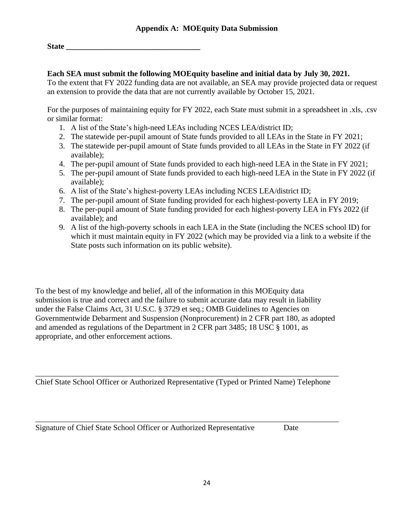**State \_\_\_\_\_\_\_\_\_\_\_\_\_\_\_\_\_\_\_\_\_\_\_\_\_\_\_\_\_\_\_\_\_\_**

#### **Each SEA must submit the following MOEquity baseline and initial data by July 30, 2021.**

To the extent that FY 2022 funding data are not available, an SEA may provide projected data or request an extension to provide the data that are not currently available by October 15, 2021.

For the purposes of maintaining equity for FY 2022, each State must submit in a spreadsheet in .xls, .csv or similar format:

- 1. A list of the State's high-need LEAs including NCES LEA/district ID;
- 2. The statewide per-pupil amount of State funds provided to all LEAs in the State in FY 2021;
- 3. The statewide per-pupil amount of State funds provided to all LEAs in the State in FY 2022 (if available);
- 4. The per-pupil amount of State funds provided to each high-need LEA in the State in FY 2021;
- 5. The per-pupil amount of State funds provided to each high-need LEA in the State in FY 2022 (if available);
- 6. A list of the State's highest-poverty LEAs including NCES LEA/district ID;
- 7. The per-pupil amount of State funding provided for each highest-poverty LEA in FY 2019;
- 8. The per-pupil amount of State funding provided for each highest-poverty LEA in FYs 2022 (if available); and
- 9. A list of the high-poverty schools in each LEA in the State (including the NCES school ID) for which it must maintain equity in FY 2022 (which may be provided via a link to a website if the State posts such information on its public website).

To the best of my knowledge and belief, all of the information in this MOEquity data submission is true and correct and the failure to submit accurate data may result in liability under the False Claims Act, 31 U.S.C. § 3729 et seq.; OMB Guidelines to Agencies on Governmentwide Debarment and Suspension (Nonprocurement) in 2 CFR part 180, as adopted and amended as regulations of the Department in 2 CFR part 3485; 18 USC § 1001, as appropriate, and other enforcement actions.

\_\_\_\_\_\_\_\_\_\_\_\_\_\_\_\_\_\_\_\_\_\_\_\_\_\_\_\_\_\_\_\_\_\_\_\_\_\_\_\_\_\_\_\_\_\_\_\_\_\_\_\_\_\_\_\_\_\_\_\_\_\_\_\_\_\_\_\_\_\_\_\_\_\_\_\_\_ Chief State School Officer or Authorized Representative (Typed or Printed Name) Telephone

\_\_\_\_\_\_\_\_\_\_\_\_\_\_\_\_\_\_\_\_\_\_\_\_\_\_\_\_\_\_\_\_\_\_\_\_\_\_\_\_\_\_\_\_\_\_\_\_\_\_\_\_\_\_\_\_\_\_\_\_\_\_\_\_\_\_\_\_\_\_\_\_\_\_\_\_\_

Signature of Chief State School Officer or Authorized Representative Date